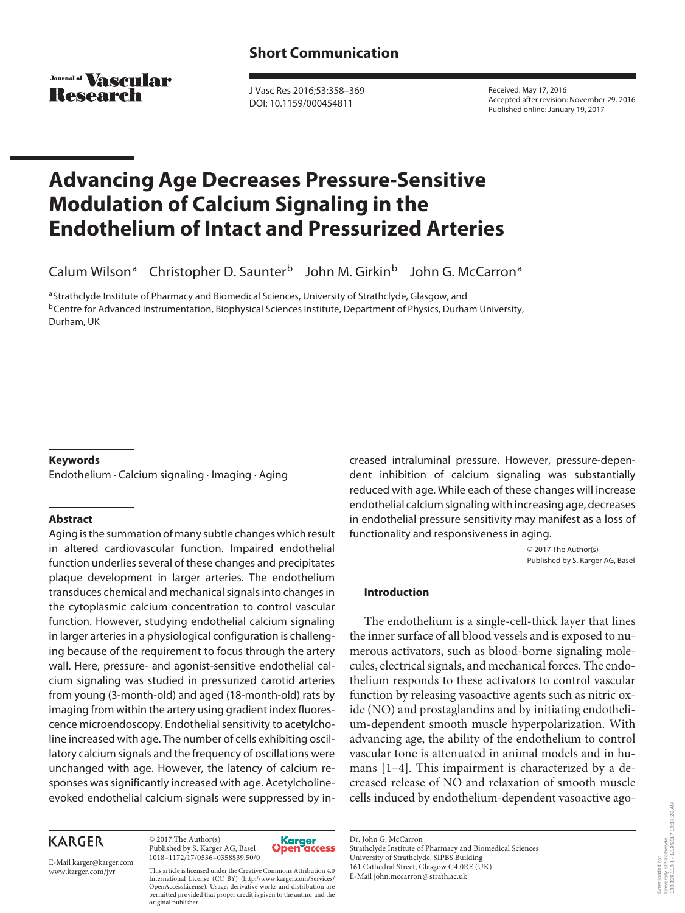Journal of **VASCHIAP** Research

 J Vasc Res 2016;53:358–369 DOI: 10.1159/000454811

 Received: May 17, 2016 Accepted after revision: November 29, 2016 Published online: January 19, 2017

# **Advancing Age Decreases Pressure-Sensitive Modulation of Calcium Signaling in the Endothelium of Intact and Pressurized Arteries**

Calum Wilson<sup>a</sup> Christopher D. Saunter<sup>b</sup> John M. Girkin<sup>b</sup> John G. McCarron<sup>a</sup>

a Strathclyde Institute of Pharmacy and Biomedical Sciences, University of Strathclyde, Glasgow, and b Centre for Advanced Instrumentation, Biophysical Sciences Institute, Department of Physics, Durham University, Durham, UK

# **Keywords**

Endothelium · Calcium signaling · Imaging · Aging

# **Abstract**

 Aging is the summation of many subtle changes which result in altered cardiovascular function. Impaired endothelial function underlies several of these changes and precipitates plaque development in larger arteries. The endothelium transduces chemical and mechanical signals into changes in the cytoplasmic calcium concentration to control vascular function. However, studying endothelial calcium signaling in larger arteries in a physiological configuration is challenging because of the requirement to focus through the artery wall. Here, pressure- and agonist-sensitive endothelial calcium signaling was studied in pressurized carotid arteries from young (3-month-old) and aged (18-month-old) rats by imaging from within the artery using gradient index fluorescence microendoscopy. Endothelial sensitivity to acetylcholine increased with age. The number of cells exhibiting oscillatory calcium signals and the frequency of oscillations were unchanged with age. However, the latency of calcium responses was significantly increased with age. Acetylcholineevoked endothelial calcium signals were suppressed by in-

# **KARGER**

E-Mail karger@karger.com

© 2017 The Author(s) Published by S. Karger AG, Basel 1018–1172/17/0536–0358\$39.50/0



 www.karger.com/jvr This article is licensed under the Creative Commons Attribution 4.0 International License (CC BY) (http://www.karger.com/Services/ OpenAccessLicense). Usage, derivative works and distribution are permitted provided that proper credit is given to the author and the original publisher.

creased intraluminal pressure. However, pressure-dependent inhibition of calcium signaling was substantially reduced with age. While each of these changes will increase endothelial calcium signaling with increasing age, decreases in endothelial pressure sensitivity may manifest as a loss of functionality and responsiveness in aging.

> © 2017 The Author(s) Published by S. Karger AG, Basel

# **Introduction**

 The endothelium is a single-cell-thick layer that lines the inner surface of all blood vessels and is exposed to numerous activators, such as blood-borne signaling molecules, electrical signals, and mechanical forces. The endothelium responds to these activators to control vascular function by releasing vasoactive agents such as nitric oxide (NO) and prostaglandins and by initiating endothelium-dependent smooth muscle hyperpolarization. With advancing age, the ability of the endothelium to control vascular tone is attenuated in animal models and in humans  $[1-4]$ . This impairment is characterized by a decreased release of NO and relaxation of smooth muscle cells induced by endothelium-dependent vasoactive ago-

 Dr. John G. McCarron Strathclyde Institute of Pharmacy and Biomedical Sciences University of Strathclyde, SIPBS Building 161 Cathedral Street, Glasgow G4 0RE (UK) E-Mail john.mccarron @ strath.ac.uk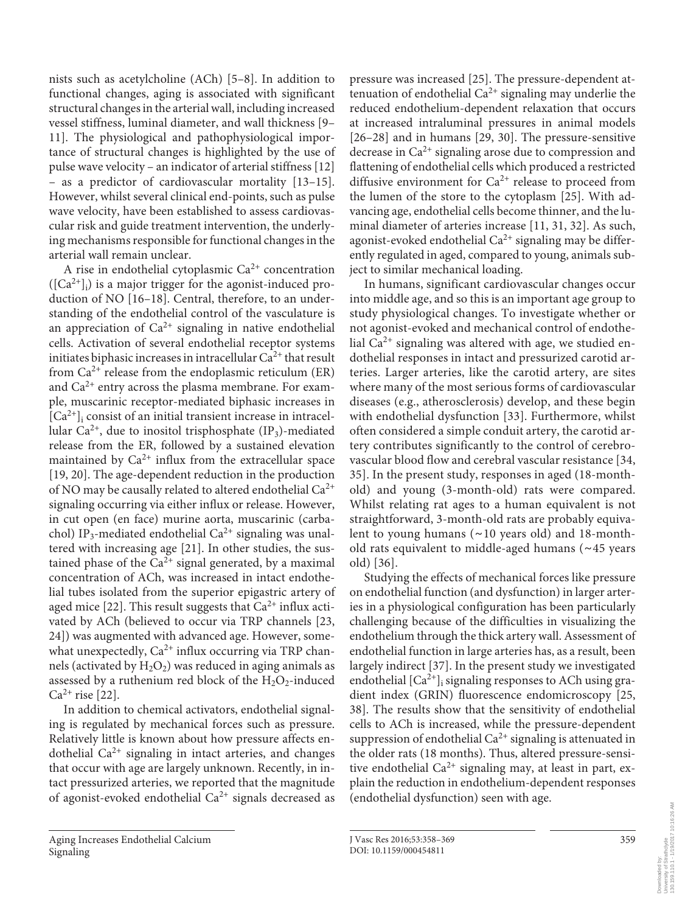nists such as acetylcholine (ACh) [5–8]. In addition to functional changes, aging is associated with significant structural changes in the arterial wall, including increased vessel stiffness, luminal diameter, and wall thickness [9– 11]. The physiological and pathophysiological importance of structural changes is highlighted by the use of pulse wave velocity – an indicator of arterial stiffness [12] – as a predictor of cardiovascular mortality [13–15] . However, whilst several clinical end-points, such as pulse wave velocity, have been established to assess cardiovascular risk and guide treatment intervention, the underlying mechanisms responsible for functional changes in the arterial wall remain unclear.

A rise in endothelial cytoplasmic  $Ca^{2+}$  concentration  $([Ca<sup>2+</sup>]$  is a major trigger for the agonist-induced production of NO [16–18]. Central, therefore, to an understanding of the endothelial control of the vasculature is an appreciation of  $Ca^{2+}$  signaling in native endothelial cells. Activation of several endothelial receptor systems initiates biphasic increases in intracellular  $Ca^{2+}$  that result from  $Ca^{2+}$  release from the endoplasmic reticulum (ER) and  $Ca<sup>2+</sup>$  entry across the plasma membrane. For example, muscarinic receptor-mediated biphasic increases in  $[Ca^{2+}]$  consist of an initial transient increase in intracellular  $Ca^{2+}$ , due to inositol trisphosphate (IP<sub>3</sub>)-mediated release from the ER, followed by a sustained elevation maintained by  $Ca^{2+}$  influx from the extracellular space [19, 20]. The age-dependent reduction in the production of NO may be causally related to altered endothelial  $Ca^{2+}$ signaling occurring via either influx or release. However, in cut open (en face) murine aorta, muscarinic (carbachol) IP<sub>3</sub>-mediated endothelial Ca<sup>2+</sup> signaling was unaltered with increasing age [21]. In other studies, the sustained phase of the  $Ca^{2+}$  signal generated, by a maximal concentration of ACh, was increased in intact endothelial tubes isolated from the superior epigastric artery of aged mice [22]. This result suggests that  $Ca^{2+}$  influx activated by ACh (believed to occur via TRP channels [23, 24]) was augmented with advanced age. However, somewhat unexpectedly,  $Ca^{2+}$  influx occurring via TRP channels (activated by  $H_2O_2$ ) was reduced in aging animals as assessed by a ruthenium red block of the  $H_2O_2$ -induced  $Ca^{2+}$  rise [22].

 In addition to chemical activators, endothelial signaling is regulated by mechanical forces such as pressure. Relatively little is known about how pressure affects endothelial  $Ca^{2+}$  signaling in intact arteries, and changes that occur with age are largely unknown. Recently, in intact pressurized arteries, we reported that the magnitude of agonist-evoked endothelial  $Ca^{2+}$  signals decreased as pressure was increased [25] . The pressure-dependent attenuation of endothelial  $Ca^{2+}$  signaling may underlie the reduced endothelium-dependent relaxation that occurs at increased intraluminal pressures in animal models  $[26-28]$  and in humans  $[29, 30]$ . The pressure-sensitive decrease in  $Ca^{2+}$  signaling arose due to compression and flattening of endothelial cells which produced a restricted diffusive environment for  $Ca^{2+}$  release to proceed from the lumen of the store to the cytoplasm [25]. With advancing age, endothelial cells become thinner, and the luminal diameter of arteries increase [11, 31, 32]. As such, agonist-evoked endothelial  $Ca^{2+}$  signaling may be differently regulated in aged, compared to young, animals subject to similar mechanical loading.

In humans, significant cardiovascular changes occur into middle age, and so this is an important age group to study physiological changes. To investigate whether or not agonist-evoked and mechanical control of endothelial  $Ca^{2+}$  signaling was altered with age, we studied endothelial responses in intact and pressurized carotid arteries. Larger arteries, like the carotid artery, are sites where many of the most serious forms of cardiovascular diseases (e.g., atherosclerosis) develop, and these begin with endothelial dysfunction [33]. Furthermore, whilst often considered a simple conduit artery, the carotid artery contributes significantly to the control of cerebrovascular blood flow and cerebral vascular resistance [34, 35] . In the present study, responses in aged (18-monthold) and young (3-month-old) rats were compared. Whilst relating rat ages to a human equivalent is not straightforward, 3-month-old rats are probably equivalent to young humans ( ∼ 10 years old) and 18-monthold rats equivalent to middle-aged humans ( ∼ 45 years old) [36].

 Studying the effects of mechanical forces like pressure on endothelial function (and dysfunction) in larger arteries in a physiological configuration has been particularly challenging because of the difficulties in visualizing the endothelium through the thick artery wall. Assessment of endothelial function in large arteries has, as a result, been largely indirect [37]. In the present study we investigated endothelial  $[Ca^{2+}]_i$  signaling responses to ACh using gradient index (GRIN) fluorescence endomicroscopy [25, 38]. The results show that the sensitivity of endothelial cells to ACh is increased, while the pressure-dependent suppression of endothelial  $Ca^{2+}$  signaling is attenuated in the older rats (18 months). Thus, altered pressure-sensitive endothelial  $Ca^{2+}$  signaling may, at least in part, explain the reduction in endothelium-dependent responses (endothelial dysfunction) seen with age.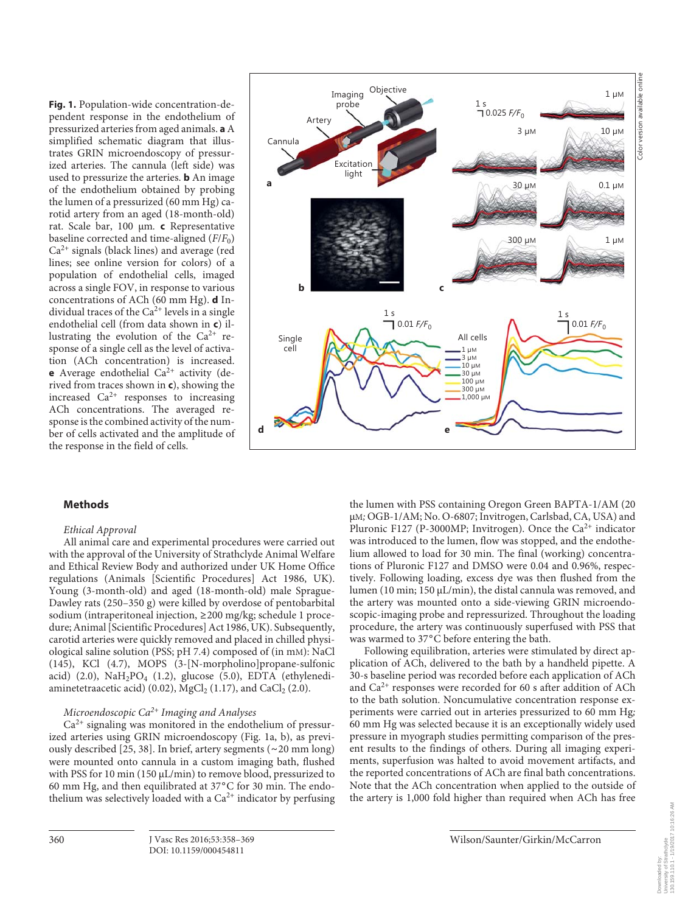**Fig. 1.** Population-wide concentration-dependent response in the endothelium of pressurized arteries from aged animals. **a** A simplified schematic diagram that illustrates GRIN microendoscopy of pressurized arteries. The cannula (left side) was used to pressurize the arteries. **b** An image of the endothelium obtained by probing the lumen of a pressurized (60 mm Hg) carotid artery from an aged (18-month-old) rat. Scale bar, 100 μm *.* **c** Representative baseline corrected and time-aligned  $(F/F_0)$  $Ca<sup>2+</sup>$  signals (black lines) and average (red lines; see online version for colors) of a population of endothelial cells, imaged across a single FOV, in response to various concentrations of ACh (60 mm Hg). **d** Individual traces of the  $Ca^{2+}$  levels in a single endothelial cell (from data shown in **c**) illustrating the evolution of the  $Ca^{2+}$  response of a single cell as the level of activation (ACh concentration) is increased. **e** Average endothelial  $Ca^{2+}$  activity (derived from traces shown in **c** ), showing the increased  $Ca^{2+}$  responses to increasing ACh concentrations. The averaged response is the combined activity of the number of cells activated and the amplitude of the response in the field of cells.



#### **Methods**

#### *Ethical Approval*

 All animal care and experimental procedures were carried out with the approval of the University of Strathclyde Animal Welfare and Ethical Review Body and authorized under UK Home Office regulations (Animals [Scientific Procedures] Act 1986, UK). Young (3-month-old) and aged (18-month-old) male Sprague-Dawley rats (250–350 g) were killed by overdose of pentobarbital sodium (intraperitoneal injection, ≥ 200 mg/kg; schedule 1 procedure; Animal [Scientific Procedures] Act 1986, UK). Subsequently, carotid arteries were quickly removed and placed in chilled physiological saline solution (PSS; pH 7.4) composed of (in mM): NaCl (145), KCl (4.7), MOPS (3-[N-morpholino]propane-sulfonic acid) (2.0),  $\text{NaH}_2\text{PO}_4$  (1.2), glucose (5.0), EDTA (ethylenediaminetetraacetic acid) (0.02),  $MgCl<sub>2</sub> (1.17)$ , and CaCl<sub>2</sub> (2.0).

## *Microendoscopic Ca 2+ Imaging and Analyses*

 $Ca<sup>2+</sup>$  signaling was monitored in the endothelium of pressurized arteries using GRIN microendoscopy (Fig. 1a, b), as previously described [25, 38] . In brief, artery segments ( ∼ 20 mm long) were mounted onto cannula in a custom imaging bath, flushed with PSS for 10 min (150 μL/min) to remove blood, pressurized to 60 mm Hg, and then equilibrated at 37 ° C for 30 min. The endothelium was selectively loaded with a  $Ca<sup>2+</sup>$  indicator by perfusing the lumen with PSS containing Oregon Green BAPTA-1/AM (20 μ M*;* OGB-1/AM; No. O-6807; Invitrogen, Carlsbad, CA, USA) and Pluronic F127 (P-3000MP; Invitrogen). Once the  $Ca^{2+}$  indicator was introduced to the lumen, flow was stopped, and the endothelium allowed to load for 30 min. The final (working) concentrations of Pluronic F127 and DMSO were 0.04 and 0.96%, respectively. Following loading, excess dye was then flushed from the lumen (10 min; 150 μL/min), the distal cannula was removed, and the artery was mounted onto a side-viewing GRIN microendoscopic-imaging probe and repressurized. Throughout the loading procedure, the artery was continuously superfused with PSS that was warmed to 37°C before entering the bath.

 Following equilibration, arteries were stimulated by direct application of ACh, delivered to the bath by a handheld pipette. A 30-s baseline period was recorded before each application of ACh and  $Ca<sup>2+</sup>$  responses were recorded for 60 s after addition of ACh to the bath solution. Noncumulative concentration response experiments were carried out in arteries pressurized to 60 mm Hg; 60 mm Hg was selected because it is an exceptionally widely used pressure in myograph studies permitting comparison of the present results to the findings of others. During all imaging experiments, superfusion was halted to avoid movement artifacts, and the reported concentrations of ACh are final bath concentrations. Note that the ACh concentration when applied to the outside of the artery is 1,000 fold higher than required when ACh has free

130.159.110.1 - 1/19/2017 10:16:26 AM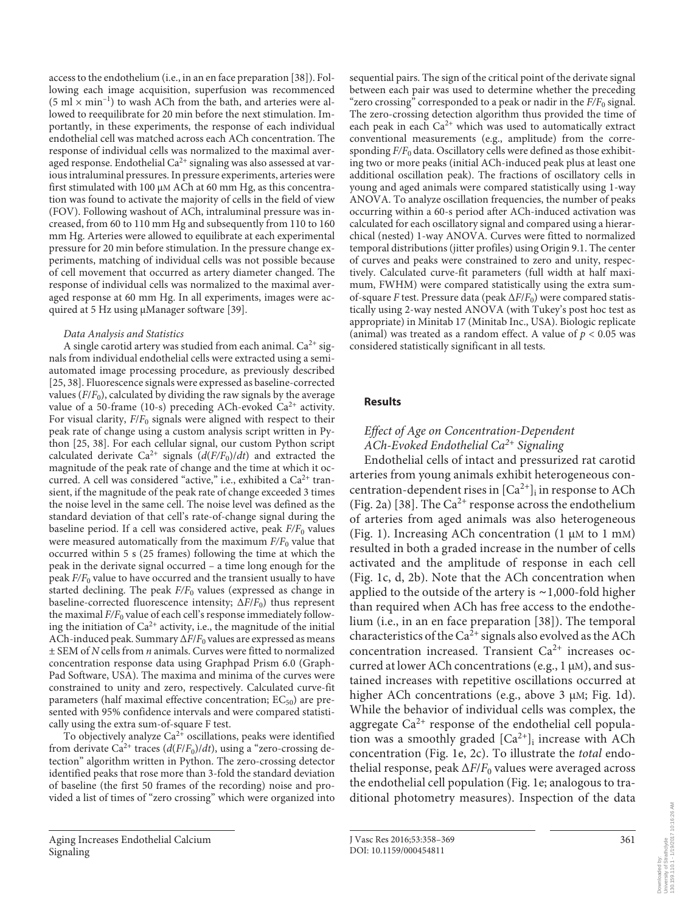access to the endothelium (i.e., in an en face preparation [38] ). Following each image acquisition, superfusion was recommenced  $(5 \text{ ml} \times \text{min}^{-1})$  to wash ACh from the bath, and arteries were allowed to reequilibrate for 20 min before the next stimulation. Importantly, in these experiments, the response of each individual endothelial cell was matched across each ACh concentration. The response of individual cells was normalized to the maximal averaged response. Endothelial  $Ca^{2+}$  signaling was also assessed at various intraluminal pressures. In pressure experiments, arteries were first stimulated with 100 μM ACh at 60 mm Hg, as this concentration was found to activate the majority of cells in the field of view (FOV). Following washout of ACh, intraluminal pressure was increased, from 60 to 110 mm Hg and subsequently from 110 to 160 mm Hg. Arteries were allowed to equilibrate at each experimental pressure for 20 min before stimulation. In the pressure change experiments, matching of individual cells was not possible because of cell movement that occurred as artery diameter changed. The response of individual cells was normalized to the maximal averaged response at 60 mm Hg. In all experiments, images were acquired at 5 Hz using μManager software [39] .

### *Data Analysis and Statistics*

A single carotid artery was studied from each animal.  $Ca^{2+}$  signals from individual endothelial cells were extracted using a semiautomated image processing procedure, as previously described [25, 38] . Fluorescence signals were expressed as baseline-corrected values  $(F/F_0)$ , calculated by dividing the raw signals by the average value of a 50-frame (10-s) preceding ACh-evoked  $Ca^{2+}$  activity. For visual clarity,  $F/F_0$  signals were aligned with respect to their peak rate of change using a custom analysis script written in Python [25, 38]. For each cellular signal, our custom Python script calculated derivate Ca<sup>2+</sup> signals  $(d(F/F_0)/dt)$  and extracted the magnitude of the peak rate of change and the time at which it occurred. A cell was considered "active," i.e., exhibited a  $Ca^{2+}$  transient, if the magnitude of the peak rate of change exceeded 3 times the noise level in the same cell. The noise level was defined as the standard deviation of that cell's rate-of-change signal during the baseline period. If a cell was considered active, peak  $F/F_0$  values were measured automatically from the maximum  $F/F_0$  value that occurred within 5 s (25 frames) following the time at which the peak in the derivate signal occurred – a time long enough for the peak  $F/F_0$  value to have occurred and the transient usually to have started declining. The peak  $F/F_0$  values (expressed as change in baseline-corrected fluorescence intensity;  $\Delta F/F_0$ ) thus represent the maximal  $F/F_0$  value of each cell's response immediately following the initiation of  $Ca^{2+}$  activity, i.e., the magnitude of the initial ACh-induced peak. Summary ΔF/F<sub>0</sub> values are expressed as means ± SEM of *N* cells from *n* animals. Curves were fitted to normalized concentration response data using Graphpad Prism 6.0 (Graph-Pad Software, USA). The maxima and minima of the curves were constrained to unity and zero, respectively. Calculated curve-fit parameters (half maximal effective concentration;  $EC_{50}$ ) are presented with 95% confidence intervals and were compared statistically using the extra sum-of-square F test.

To objectively analyze  $Ca^{2+}$  oscillations, peaks were identified from derivate Ca<sup>2+</sup> traces ( $d(F/F_0)/dt$ ), using a "zero-crossing detection" algorithm written in Python. The zero-crossing detector identified peaks that rose more than 3-fold the standard deviation of baseline (the first 50 frames of the recording) noise and provided a list of times of "zero crossing" which were organized into

sequential pairs. The sign of the critical point of the derivate signal between each pair was used to determine whether the preceding "zero crossing" corresponded to a peak or nadir in the  $F/F_0$  signal. The zero-crossing detection algorithm thus provided the time of each peak in each  $Ca^{2+}$  which was used to automatically extract conventional measurements (e.g., amplitude) from the corresponding  $F/F_0$  data. Oscillatory cells were defined as those exhibiting two or more peaks (initial ACh-induced peak plus at least one additional oscillation peak). The fractions of oscillatory cells in young and aged animals were compared statistically using 1-way ANOVA. To analyze oscillation frequencies, the number of peaks occurring within a 60-s period after ACh-induced activation was calculated for each oscillatory signal and compared using a hierarchical (nested) 1-way ANOVA. Curves were fitted to normalized temporal distributions (jitter profiles) using Origin 9.1. The center of curves and peaks were constrained to zero and unity, respectively. Calculated curve-fit parameters (full width at half maximum, FWHM) were compared statistically using the extra sumof-square *F* test. Pressure data (peak Δ *F* / *F*0 ) were compared statistically using 2-way nested ANOVA (with Tukey's post hoc test as appropriate) in Minitab 17 (Minitab Inc., USA). Biologic replicate (animal) was treated as a random effect. A value of  $p < 0.05$  was considered statistically significant in all tests.

# **Results**

# *Effect of Age on Concentration-Dependent ACh-Evoked Endothelial Ca 2+ Signaling*

 Endothelial cells of intact and pressurized rat carotid arteries from young animals exhibit heterogeneous concentration-dependent rises in  $[Ca^{2+}]_i$  in response to ACh (Fig. 2a) [38]. The  $Ca^{2+}$  response across the endothelium of arteries from aged animals was also heterogeneous (Fig. 1). Increasing ACh concentration  $(1 \mu M)$  to  $1 \mu M$ ) resulted in both a graded increase in the number of cells activated and the amplitude of response in each cell (Fig. 1c, d, 2b). Note that the ACh concentration when applied to the outside of the artery is ∼ 1,000-fold higher than required when ACh has free access to the endothelium (i.e., in an en face preparation [38] ). The temporal characteristics of the  $Ca^{2+}$  signals also evolved as the ACh concentration increased. Transient  $Ca^{2+}$  increases occurred at lower ACh concentrations (e.g.,  $1 \mu$ M), and sustained increases with repetitive oscillations occurred at higher ACh concentrations (e.g., above  $3 \mu$ M; Fig. 1d). While the behavior of individual cells was complex, the aggregate  $Ca^{2+}$  response of the endothelial cell population was a smoothly graded  $[Ca^{2+}]$  increase with ACh concentration (Fig. 1e, 2c). To illustrate the *total* endothelial response, peak  $\Delta F/F_0$  values were averaged across the endothelial cell population (Fig. 1e; analogous to traditional photometry measures). Inspection of the data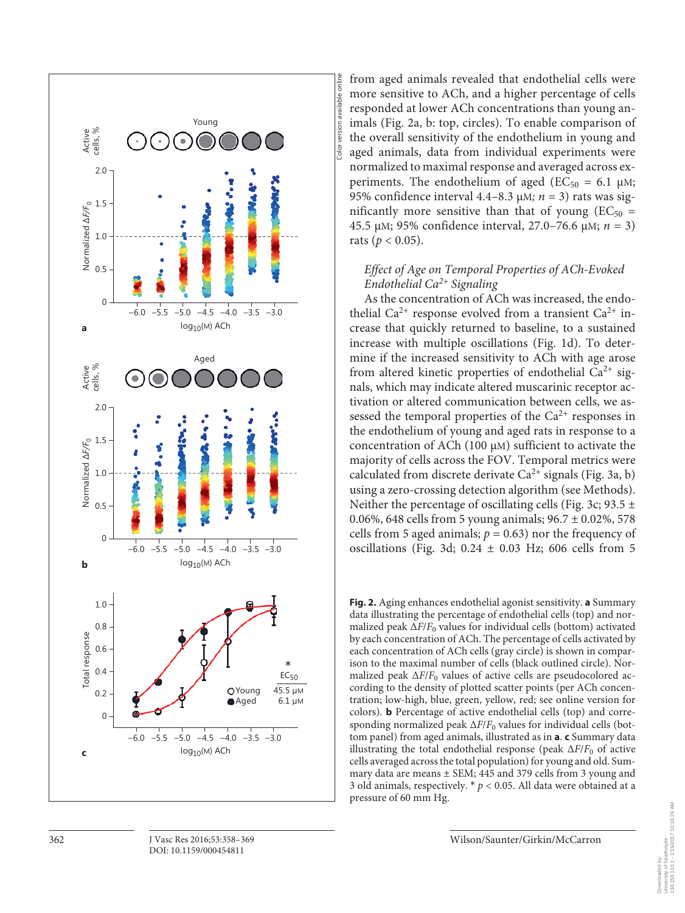

from aged animals revealed that endothelial cells were more sensitive to ACh, and a higher percentage of cells responded at lower ACh concentrations than young animals (Fig. 2a, b: top, circles). To enable comparison of the overall sensitivity of the endothelium in young and aged animals, data from individual experiments were normalized to maximal response and averaged across experiments. The endothelium of aged ( $EC_{50} = 6.1 \mu M$ ; 95% confidence interval 4.4–8.3  $\mu$ M;  $n = 3$ ) rats was significantly more sensitive than that of young ( $EC_{50}$  = 45.5 μM; 95% confidence interval, 27.0-76.6 μM; *n* = 3) rats ( $p < 0.05$ ).

Color version available online

iolor

version available onl

# *Effect of Age on Temporal Properties of ACh-Evoked Endothelial Ca*<sup>2+</sup> Signaling

 As the concentration of ACh was increased, the endothelial  $Ca^{2+}$  response evolved from a transient  $Ca^{2+}$  increase that quickly returned to baseline, to a sustained increase with multiple oscillations (Fig. 1d). To determine if the increased sensitivity to ACh with age arose from altered kinetic properties of endothelial  $Ca^{2+}$  signals, which may indicate altered muscarinic receptor activation or altered communication between cells, we assessed the temporal properties of the  $Ca^{2+}$  responses in the endothelium of young and aged rats in response to a concentration of ACh (100  $\mu$ M) sufficient to activate the majority of cells across the FOV. Temporal metrics were calculated from discrete derivate  $Ca^{2+}$  signals (Fig. 3a, b) using a zero-crossing detection algorithm (see Methods). Neither the percentage of oscillating cells (Fig. 3c; 93.5  $\pm$ 0.06%, 648 cells from 5 young animals;  $96.7 \pm 0.02$ %, 578 cells from 5 aged animals;  $p = 0.63$ ) nor the frequency of oscillations (Fig. 3d;  $0.24 \pm 0.03$  Hz; 606 cells from 5

**Fig. 2.** Aging enhances endothelial agonist sensitivity. **a** Summary data illustrating the percentage of endothelial cells (top) and normalized peak  $\Delta F/F_0$  values for individual cells (bottom) activated by each concentration of ACh. The percentage of cells activated by each concentration of ACh cells (gray circle) is shown in comparison to the maximal number of cells (black outlined circle). Normalized peak  $\Delta F/F_0$  values of active cells are pseudocolored according to the density of plotted scatter points (per ACh concentration; low-high, blue, green, yellow, red; see online version for colors). **b** Percentage of active endothelial cells (top) and corresponding normalized peak  $\Delta F/F_0$  values for individual cells (bottom panel) from aged animals, illustrated as in **a** . **c** Summary data illustrating the total endothelial response (peak  $\Delta F/F_0$  of active cells averaged across the total population) for young and old. Summary data are means ± SEM; 445 and 379 cells from 3 young and 3 old animals, respectively. \* *p* < 0.05. All data were obtained at a pressure of 60 mm Hg.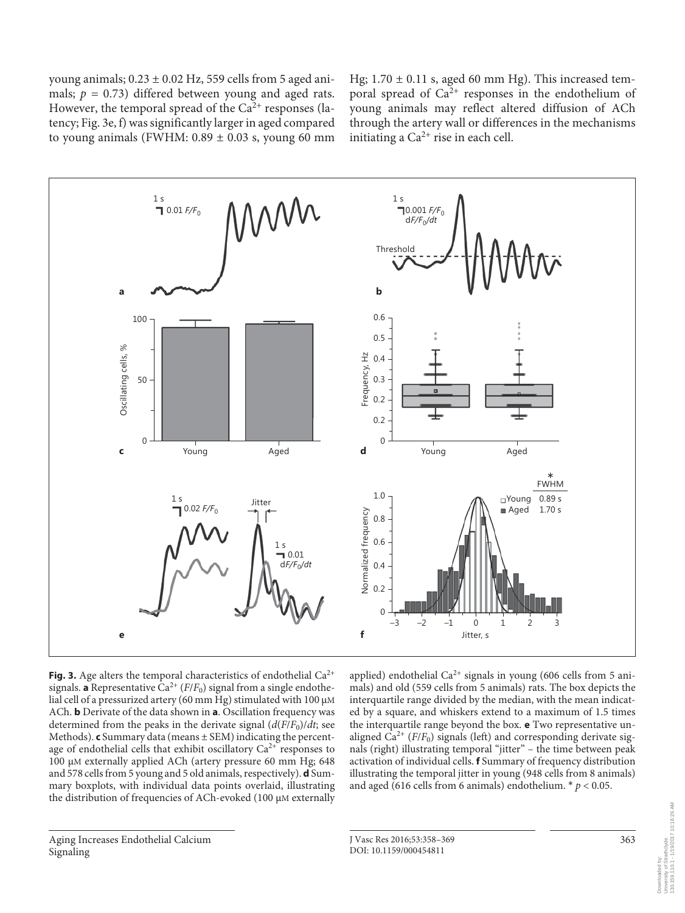young animals;  $0.23 \pm 0.02$  Hz, 559 cells from 5 aged animals;  $p = 0.73$ ) differed between young and aged rats. However, the temporal spread of the  $Ca<sup>2+</sup>$  responses (latency; Fig. 3e, f) was significantly larger in aged compared to young animals (FWHM:  $0.89 \pm 0.03$  s, young 60 mm

Hg;  $1.70 \pm 0.11$  s, aged 60 mm Hg). This increased temporal spread of  $Ca^{2+}$  responses in the endothelium of young animals may reflect altered diffusion of ACh through the artery wall or differences in the mechanisms initiating a  $Ca^{2+}$  rise in each cell.



**Fig. 3.** Age alters the temporal characteristics of endothelial  $Ca^{2+}$ signals. **a** Representative  $Ca^{2+}(F/F_0)$  signal from a single endothelial cell of a pressurized artery (60 mm Hg) stimulated with 100 μM ACh. **b** Derivate of the data shown in **a** . Oscillation frequency was determined from the peaks in the derivate signal  $(d(F/F_0)/dt)$ ; see Methods). **c** Summary data (means ± SEM) indicating the percentage of endothelial cells that exhibit oscillatory  $Ca^{2+}$  responses to 100 μM externally applied ACh (artery pressure 60 mm Hg; 648 and 578 cells from 5 young and 5 old animals, respectively). **d** Summary boxplots, with individual data points overlaid, illustrating the distribution of frequencies of ACh-evoked (100 μM externally

applied) endothelial  $Ca^{2+}$  signals in young (606 cells from 5 animals) and old (559 cells from 5 animals) rats. The box depicts the interquartile range divided by the median, with the mean indicated by a square, and whiskers extend to a maximum of 1.5 times the interquartile range beyond the box. **e** Two representative unaligned  $Ca^{2+}$  ( $F/F_0$ ) signals (left) and corresponding derivate signals (right) illustrating temporal "jitter" – the time between peak activation of individual cells. **f** Summary of frequency distribution illustrating the temporal jitter in young (948 cells from 8 animals) and aged (616 cells from 6 animals) endothelium.  $* p < 0.05$ .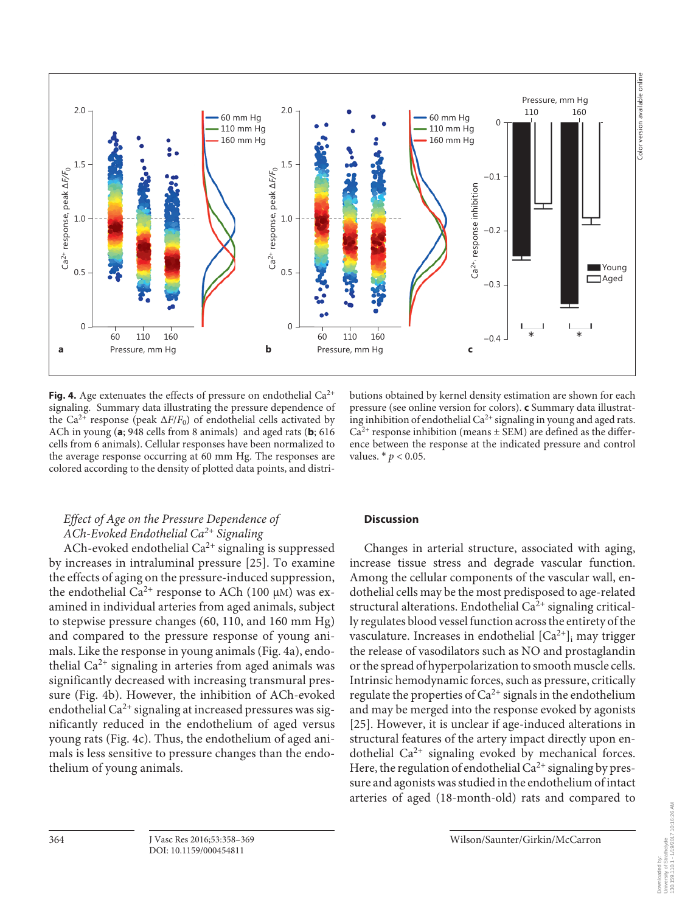

Fig. 4. Age extenuates the effects of pressure on endothelial  $Ca^{2+}$ signaling. Summary data illustrating the pressure dependence of the Ca<sup>2+</sup> response (peak  $\Delta F/F_0$ ) of endothelial cells activated by ACh in young (a; 948 cells from 8 animals) and aged rats (b; 616 cells from 6 animals). Cellular responses have been normalized to the average response occurring at 60 mm Hg. The responses are colored according to the density of plotted data points, and distri-

butions obtained by kernel density estimation are shown for each pressure (see online version for colors). **c** Summary data illustrating inhibition of endothelial  $Ca^{2+}$  signaling in young and aged rats.  $Ca<sup>2+</sup>$  response inhibition (means  $\pm$  SEM) are defined as the difference between the response at the indicated pressure and control values.  $*$   $p$  < 0.05.

# *Effect of Age on the Pressure Dependence of ACh-Evoked Endothelial Ca 2+ Signaling*

ACh-evoked endothelial  $Ca^{2+}$  signaling is suppressed by increases in intraluminal pressure [25]. To examine the effects of aging on the pressure-induced suppression, the endothelial  $Ca<sup>2+</sup>$  response to ACh (100 μM) was examined in individual arteries from aged animals, subject to stepwise pressure changes (60, 110, and 160 mm Hg) and compared to the pressure response of young animals. Like the response in young animals (Fig. 4a), endothelial  $Ca^{2+}$  signaling in arteries from aged animals was significantly decreased with increasing transmural pressure (Fig. 4b). However, the inhibition of ACh-evoked endothelial  $Ca^{2+}$  signaling at increased pressures was significantly reduced in the endothelium of aged versus young rats (Fig. 4c). Thus, the endothelium of aged animals is less sensitive to pressure changes than the endothelium of young animals.

# **Discussion**

 Changes in arterial structure, associated with aging, increase tissue stress and degrade vascular function. Among the cellular components of the vascular wall, endothelial cells may be the most predisposed to age-related structural alterations. Endothelial  $Ca<sup>2+</sup>$  signaling critically regulates blood vessel function across the entirety of the vasculature. Increases in endothelial  $[Ca^{2+}]$  may trigger the release of vasodilators such as NO and prostaglandin or the spread of hyperpolarization to smooth muscle cells. Intrinsic hemodynamic forces, such as pressure, critically regulate the properties of  $Ca^{2+}$  signals in the endothelium and may be merged into the response evoked by agonists [25]. However, it is unclear if age-induced alterations in structural features of the artery impact directly upon endothelial  $Ca^{2+}$  signaling evoked by mechanical forces. Here, the regulation of endothelial  $Ca^{2+}$  signaling by pressure and agonists was studied in the endothelium of intact arteries of aged (18-month-old) rats and compared to

Downloaded by: University of Strathclyde 130.159.110.1 - 1/19/2017 10:16:26 AM

Downloaded by:<br>University of Strathclyde<br>130.159.110.1 - 1/19/2017 10:16:26 AM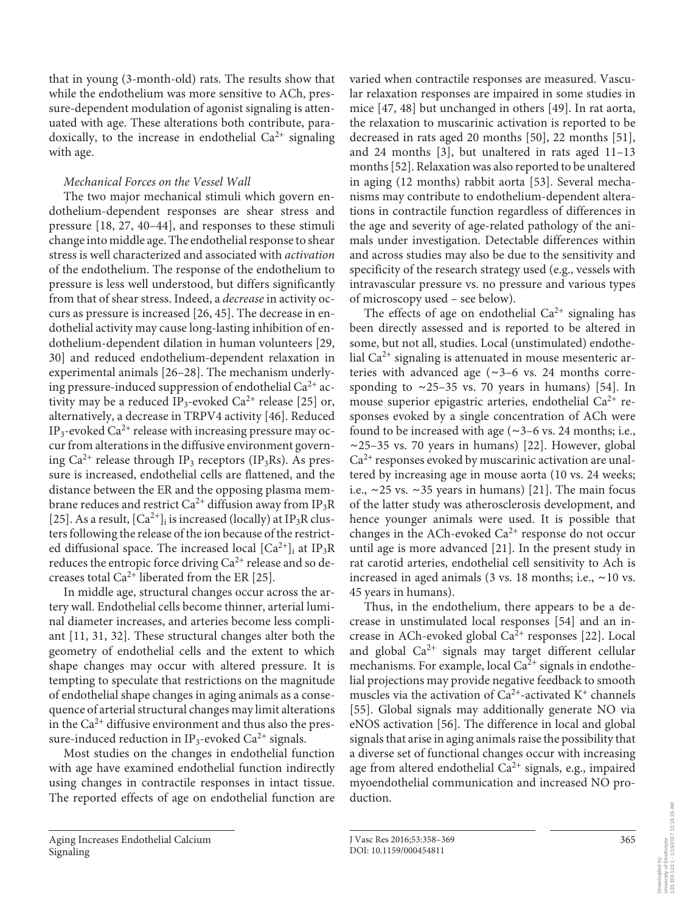that in young (3-month-old) rats. The results show that while the endothelium was more sensitive to ACh, pressure-dependent modulation of agonist signaling is attenuated with age. These alterations both contribute, paradoxically, to the increase in endothelial  $Ca^{2+}$  signaling with age.

# *Mechanical Forces on the Vessel Wall*

 The two major mechanical stimuli which govern endothelium-dependent responses are shear stress and pressure [18, 27, 40-44], and responses to these stimuli change into middle age. The endothelial response to shear stress is well characterized and associated with *activation* of the endothelium. The response of the endothelium to pressure is less well understood, but differs significantly from that of shear stress. Indeed, a *decrease* in activity occurs as pressure is increased [26, 45] . The decrease in endothelial activity may cause long-lasting inhibition of endothelium-dependent dilation in human volunteers [29, 30] and reduced endothelium-dependent relaxation in experimental animals [26-28]. The mechanism underlying pressure-induced suppression of endothelial  $Ca^{2+}$  activity may be a reduced  $IP_3$ -evoked  $Ca^{2+}$  release [25] or, alternatively, a decrease in TRPV4 activity [46]. Reduced IP<sub>3</sub>-evoked Ca<sup>2+</sup> release with increasing pressure may occur from alterations in the diffusive environment governing  $Ca^{2+}$  release through IP<sub>3</sub> receptors (IP<sub>3</sub>Rs). As pressure is increased, endothelial cells are flattened, and the distance between the ER and the opposing plasma membrane reduces and restrict Ca<sup>2+</sup> diffusion away from IP<sub>3</sub>R [25]. As a result,  $[Ca^{2+}]_i$  is increased (locally) at IP<sub>3</sub>R clusters following the release of the ion because of the restricted diffusional space. The increased local  $[Ca^{2+}]_i$  at IP<sub>3</sub>R reduces the entropic force driving  $Ca^{2+}$  release and so decreases total  $Ca^{2+}$  liberated from the ER [25].

 In middle age, structural changes occur across the artery wall. Endothelial cells become thinner, arterial luminal diameter increases, and arteries become less compliant [11, 31, 32]. These structural changes alter both the geometry of endothelial cells and the extent to which shape changes may occur with altered pressure. It is tempting to speculate that restrictions on the magnitude of endothelial shape changes in aging animals as a consequence of arterial structural changes may limit alterations in the  $Ca^{2+}$  diffusive environment and thus also the pressure-induced reduction in IP<sub>3</sub>-evoked Ca<sup>2+</sup> signals.

 Most studies on the changes in endothelial function with age have examined endothelial function indirectly using changes in contractile responses in intact tissue. The reported effects of age on endothelial function are

varied when contractile responses are measured. Vascular relaxation responses are impaired in some studies in mice [47, 48] but unchanged in others [49]. In rat aorta, the relaxation to muscarinic activation is reported to be decreased in rats aged 20 months  $[50]$ , 22 months  $[51]$ , and 24 months  $[3]$ , but unaltered in rats aged  $11-13$ months [52] . Relaxation was also reported to be unaltered in aging (12 months) rabbit aorta [53]. Several mechanisms may contribute to endothelium-dependent alterations in contractile function regardless of differences in the age and severity of age-related pathology of the animals under investigation. Detectable differences within and across studies may also be due to the sensitivity and specificity of the research strategy used (e.g., vessels with intravascular pressure vs. no pressure and various types of microscopy used – see below).

The effects of age on endothelial  $Ca^{2+}$  signaling has been directly assessed and is reported to be altered in some, but not all, studies. Local (unstimulated) endothelial  $Ca^{2+}$  signaling is attenuated in mouse mesenteric arteries with advanced age ( ∼ 3–6 vs. 24 months corresponding to  $~\sim$ 25–35 vs. 70 years in humans) [54]. In mouse superior epigastric arteries, endothelial  $Ca^{2+}$  responses evoked by a single concentration of ACh were found to be increased with age ( ∼ 3–6 vs. 24 months; i.e., ∼ 25–35 vs. 70 years in humans) [22] . However, global  $Ca<sup>2+</sup>$  responses evoked by muscarinic activation are unaltered by increasing age in mouse aorta (10 vs. 24 weeks; i.e., ∼ 25 vs. ∼ 35 years in humans) [21] . The main focus of the latter study was atherosclerosis development, and hence younger animals were used. It is possible that changes in the ACh-evoked  $Ca^{2+}$  response do not occur until age is more advanced [21]. In the present study in rat carotid arteries, endothelial cell sensitivity to Ach is increased in aged animals (3 vs. 18 months; i.e., ∼ 10 vs. 45 years in humans).

 Thus, in the endothelium, there appears to be a decrease in unstimulated local responses [54] and an increase in ACh-evoked global  $Ca<sup>2+</sup>$  responses [22]. Local and global  $Ca^{2+}$  signals may target different cellular mechanisms. For example, local  $Ca^{2+}$  signals in endothelial projections may provide negative feedback to smooth muscles via the activation of  $Ca^{2+}$ -activated K<sup>+</sup> channels [55]. Global signals may additionally generate NO via eNOS activation [56]. The difference in local and global signals that arise in aging animals raise the possibility that a diverse set of functional changes occur with increasing age from altered endothelial  $Ca^{2+}$  signals, e.g., impaired myoendothelial communication and increased NO production.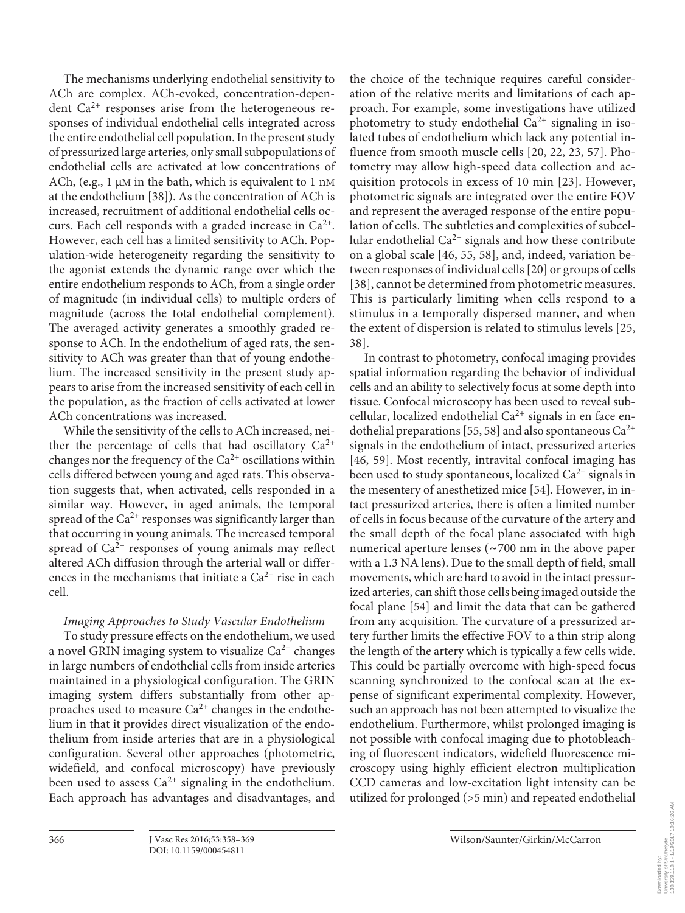The mechanisms underlying endothelial sensitivity to ACh are complex. ACh-evoked, concentration-dependent  $Ca^{2+}$  responses arise from the heterogeneous responses of individual endothelial cells integrated across the entire endothelial cell population. In the present study of pressurized large arteries, only small subpopulations of endothelial cells are activated at low concentrations of ACh, (e.g.,  $1 \mu M$  in the bath, which is equivalent to  $1 \text{ nM}$ at the endothelium [38]). As the concentration of ACh is increased, recruitment of additional endothelial cells occurs. Each cell responds with a graded increase in  $Ca^{2+}$ . However, each cell has a limited sensitivity to ACh. Population-wide heterogeneity regarding the sensitivity to the agonist extends the dynamic range over which the entire endothelium responds to ACh, from a single order of magnitude (in individual cells) to multiple orders of magnitude (across the total endothelial complement). The averaged activity generates a smoothly graded response to ACh. In the endothelium of aged rats, the sensitivity to ACh was greater than that of young endothelium. The increased sensitivity in the present study appears to arise from the increased sensitivity of each cell in the population, as the fraction of cells activated at lower ACh concentrations was increased.

 While the sensitivity of the cells to ACh increased, neither the percentage of cells that had oscillatory  $Ca^{2+}$ changes nor the frequency of the  $Ca^{2+}$  oscillations within cells differed between young and aged rats. This observation suggests that, when activated, cells responded in a similar way. However, in aged animals, the temporal spread of the  $Ca^{2+}$  responses was significantly larger than that occurring in young animals. The increased temporal spread of  $Ca<sup>2+</sup>$  responses of young animals may reflect altered ACh diffusion through the arterial wall or differences in the mechanisms that initiate a  $Ca^{2+}$  rise in each cell.

# *Imaging Approaches to Study Vascular Endothelium*

 To study pressure effects on the endothelium, we used a novel GRIN imaging system to visualize  $Ca^{2+}$  changes in large numbers of endothelial cells from inside arteries maintained in a physiological configuration. The GRIN imaging system differs substantially from other approaches used to measure  $Ca^{2+}$  changes in the endothelium in that it provides direct visualization of the endothelium from inside arteries that are in a physiological configuration. Several other approaches (photometric, widefield, and confocal microscopy) have previously been used to assess  $Ca^{2+}$  signaling in the endothelium. Each approach has advantages and disadvantages, and

the choice of the technique requires careful consideration of the relative merits and limitations of each approach. For example, some investigations have utilized photometry to study endothelial  $Ca^{2+}$  signaling in isolated tubes of endothelium which lack any potential influence from smooth muscle cells [20, 22, 23, 57]. Photometry may allow high-speed data collection and acquisition protocols in excess of 10 min [23]. However, photometric signals are integrated over the entire FOV and represent the averaged response of the entire population of cells. The subtleties and complexities of subcellular endothelial  $Ca^{2+}$  signals and how these contribute on a global scale [46, 55, 58] , and, indeed, variation between responses of individual cells [20] or groups of cells [38], cannot be determined from photometric measures. This is particularly limiting when cells respond to a stimulus in a temporally dispersed manner, and when the extent of dispersion is related to stimulus levels [25, 38] .

 In contrast to photometry, confocal imaging provides spatial information regarding the behavior of individual cells and an ability to selectively focus at some depth into tissue. Confocal microscopy has been used to reveal subcellular, localized endothelial  $Ca^{2+}$  signals in en face endothelial preparations [55, 58] and also spontaneous  $Ca^{2+}$ signals in the endothelium of intact, pressurized arteries [46, 59]. Most recently, intravital confocal imaging has been used to study spontaneous, localized  $Ca^{2+}$  signals in the mesentery of anesthetized mice [54]. However, in intact pressurized arteries, there is often a limited number of cells in focus because of the curvature of the artery and the small depth of the focal plane associated with high numerical aperture lenses ( ∼ 700 nm in the above paper with a 1.3 NA lens). Due to the small depth of field, small movements, which are hard to avoid in the intact pressurized arteries, can shift those cells being imaged outside the focal plane [54] and limit the data that can be gathered from any acquisition. The curvature of a pressurized artery further limits the effective FOV to a thin strip along the length of the artery which is typically a few cells wide. This could be partially overcome with high-speed focus scanning synchronized to the confocal scan at the expense of significant experimental complexity. However, such an approach has not been attempted to visualize the endothelium. Furthermore, whilst prolonged imaging is not possible with confocal imaging due to photobleaching of fluorescent indicators, widefield fluorescence microscopy using highly efficient electron multiplication CCD cameras and low-excitation light intensity can be utilized for prolonged (>5 min) and repeated endothelial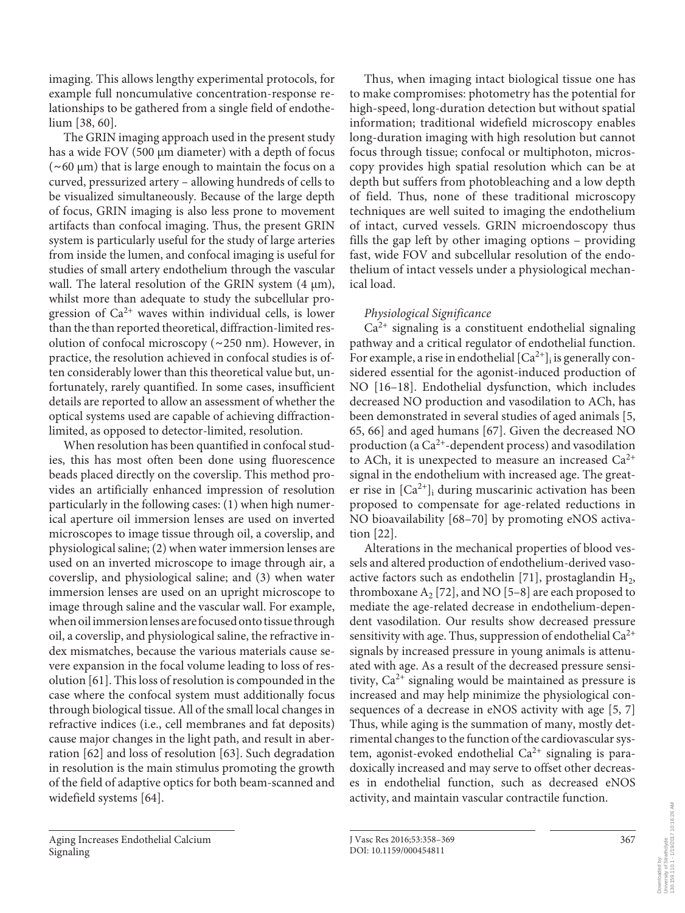imaging. This allows lengthy experimental protocols, for example full noncumulative concentration-response relationships to be gathered from a single field of endothelium [38, 60].

 The GRIN imaging approach used in the present study has a wide FOV (500 μm diameter) with a depth of focus ( ∼ 60 μm) that is large enough to maintain the focus on a curved, pressurized artery – allowing hundreds of cells to be visualized simultaneously. Because of the large depth of focus, GRIN imaging is also less prone to movement artifacts than confocal imaging. Thus, the present GRIN system is particularly useful for the study of large arteries from inside the lumen, and confocal imaging is useful for studies of small artery endothelium through the vascular wall. The lateral resolution of the GRIN system (4 μm), whilst more than adequate to study the subcellular progression of  $Ca^{2+}$  waves within individual cells, is lower than the than reported theoretical, diffraction-limited resolution of confocal microscopy ( ∼ 250 nm). However, in practice, the resolution achieved in confocal studies is often considerably lower than this theoretical value but, unfortunately, rarely quantified. In some cases, insufficient details are reported to allow an assessment of whether the optical systems used are capable of achieving diffractionlimited, as opposed to detector-limited, resolution.

 When resolution has been quantified in confocal studies, this has most often been done using fluorescence beads placed directly on the coverslip. This method provides an artificially enhanced impression of resolution particularly in the following cases: (1) when high numerical aperture oil immersion lenses are used on inverted microscopes to image tissue through oil, a coverslip, and physiological saline; (2) when water immersion lenses are used on an inverted microscope to image through air, a coverslip, and physiological saline; and (3) when water immersion lenses are used on an upright microscope to image through saline and the vascular wall. For example, when oil immersion lenses are focused onto tissue through oil, a coverslip, and physiological saline, the refractive index mismatches, because the various materials cause severe expansion in the focal volume leading to loss of resolution [61] . This loss of resolution is compounded in the case where the confocal system must additionally focus through biological tissue. All of the small local changes in refractive indices (i.e., cell membranes and fat deposits) cause major changes in the light path, and result in aberration [62] and loss of resolution [63] . Such degradation in resolution is the main stimulus promoting the growth of the field of adaptive optics for both beam-scanned and widefield systems [64] .

 Aging Increases Endothelial Calcium Signaling

 Thus, when imaging intact biological tissue one has to make compromises: photometry has the potential for high-speed, long-duration detection but without spatial information; traditional widefield microscopy enables long-duration imaging with high resolution but cannot focus through tissue; confocal or multiphoton, microscopy provides high spatial resolution which can be at depth but suffers from photobleaching and a low depth of field. Thus, none of these traditional microscopy techniques are well suited to imaging the endothelium of intact, curved vessels. GRIN microendoscopy thus fills the gap left by other imaging options – providing fast, wide FOV and subcellular resolution of the endothelium of intact vessels under a physiological mechanical load.

# *Physiological Significance*

 $Ca<sup>2+</sup>$  signaling is a constituent endothelial signaling pathway and a critical regulator of endothelial function. For example, a rise in endothelial  $[Ca^{2+}]$  is generally considered essential for the agonist-induced production of NO [16-18]. Endothelial dysfunction, which includes decreased NO production and vasodilation to ACh, has been demonstrated in several studies of aged animals [5, 65, 66] and aged humans [67] . Given the decreased NO production (a  $Ca^{2+}$ -dependent process) and vasodilation to ACh, it is unexpected to measure an increased  $Ca^{2+}$ signal in the endothelium with increased age. The greater rise in  $[Ca^{2+}]$  during muscarinic activation has been proposed to compensate for age-related reductions in NO bioavailability [68–70] by promoting eNOS activation [22].

 Alterations in the mechanical properties of blood vessels and altered production of endothelium-derived vasoactive factors such as endothelin [71], prostaglandin  $H_2$ , thromboxane  $A_2$  [72], and NO [5–8] are each proposed to mediate the age-related decrease in endothelium-dependent vasodilation. Our results show decreased pressure sensitivity with age. Thus, suppression of endothelial  $Ca^{2+}$ signals by increased pressure in young animals is attenuated with age. As a result of the decreased pressure sensitivity,  $Ca^{2+}$  signaling would be maintained as pressure is increased and may help minimize the physiological consequences of a decrease in eNOS activity with age [5, 7] Thus, while aging is the summation of many, mostly detrimental changes to the function of the cardiovascular system, agonist-evoked endothelial  $Ca^{2+}$  signaling is paradoxically increased and may serve to offset other decreases in endothelial function, such as decreased eNOS activity, and maintain vascular contractile function.

Downloaded by: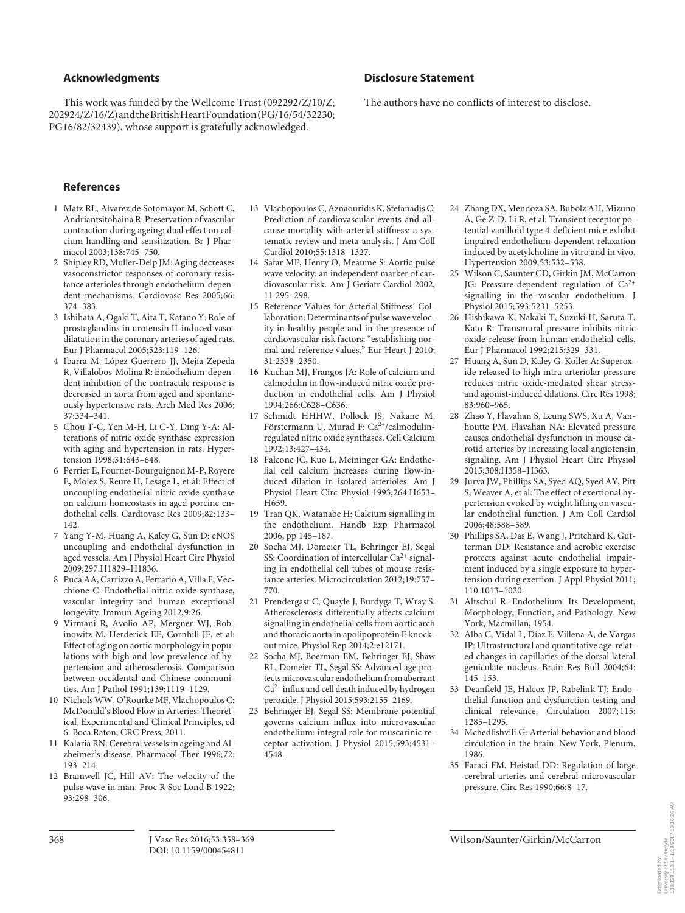### **Acknowledgments**

 This work was funded by the Wellcome Trust (092292/Z/10/Z; 202924/Z/16/Z) and the British Heart Foundation (PG/16/54/32230; PG16/82/32439), whose support is gratefully acknowledged.

# **Disclosure Statement**

The authors have no conflicts of interest to disclose.

## **References**

- 1 Matz RL, Alvarez de Sotomayor M, Schott C, Andriantsitohaina R: Preservation of vascular contraction during ageing: dual effect on calcium handling and sensitization. Br J Pharmacol 2003;138:745–750.
- 2 Shipley RD, Muller-Delp JM: Aging decreases vasoconstrictor responses of coronary resistance arterioles through endothelium-dependent mechanisms. Cardiovasc Res 2005;66: 374–383.
- 3 Ishihata A, Ogaki T, Aita T, Katano Y: Role of prostaglandins in urotensin II-induced vasodilatation in the coronary arteries of aged rats. Eur J Pharmacol 2005;523:119–126.
- 4 Ibarra M, López-Guerrero JJ, Mejía-Zepeda R, Villalobos-Molina R: Endothelium-dependent inhibition of the contractile response is decreased in aorta from aged and spontaneously hypertensive rats. Arch Med Res 2006; 37:334–341.
- 5 Chou T-C, Yen M-H, Li C-Y, Ding Y-A: Alterations of nitric oxide synthase expression with aging and hypertension in rats. Hypertension 1998;31:643–648.
- 6 Perrier E, Fournet-Bourguignon M-P, Royere E, Molez S, Reure H, Lesage L, et al: Effect of uncoupling endothelial nitric oxide synthase on calcium homeostasis in aged porcine endothelial cells. Cardiovasc Res 2009;82:133– 142.
- 7 Yang Y-M, Huang A, Kaley G, Sun D: eNOS uncoupling and endothelial dysfunction in aged vessels. Am J Physiol Heart Circ Physiol 2009;297:H1829–H1836.
- 8 Puca AA, Carrizzo A, Ferrario A, Villa F, Vecchione C: Endothelial nitric oxide synthase, vascular integrity and human exceptional longevity. Immun Ageing 2012;9:26.
- 9 Virmani R, Avolio AP, Mergner WJ, Robinowitz M, Herderick EE, Cornhill JF, et al: Effect of aging on aortic morphology in populations with high and low prevalence of hypertension and atherosclerosis. Comparison between occidental and Chinese communities. Am J Pathol 1991;139:1119–1129.
- 10 Nichols WW, O'Rourke MF, Vlachopoulos C: McDonald's Blood Flow in Arteries: Theoretical, Experimental and Clinical Principles, ed 6. Boca Raton, CRC Press, 2011.
- 11 Kalaria RN: Cerebral vessels in ageing and Alzheimer's disease. Pharmacol Ther 1996;72: 193–214.
- 12 Bramwell JC, Hill AV: The velocity of the pulse wave in man. Proc R Soc Lond B 1922; 93:298–306.
- 13 Vlachopoulos C, Aznaouridis K, Stefanadis C: Prediction of cardiovascular events and allcause mortality with arterial stiffness: a systematic review and meta-analysis. J Am Coll Cardiol 2010;55:1318–1327.
- 14 Safar ME, Henry O, Meaume S: Aortic pulse wave velocity: an independent marker of cardiovascular risk. Am J Geriatr Cardiol 2002; 11:295–298.
- 15 Reference Values for Arterial Stiffness' Collaboration: Determinants of pulse wave velocity in healthy people and in the presence of cardiovascular risk factors: "establishing normal and reference values." Eur Heart J 2010; 31:2338–2350.
- 16 Kuchan MJ, Frangos JA: Role of calcium and calmodulin in flow-induced nitric oxide production in endothelial cells. Am J Physiol 1994;266:C628–C636.
- 17 Schmidt HHHW, Pollock JS, Nakane M, Förstermann U, Murad F: Ca<sup>2+</sup>/calmodulinregulated nitric oxide synthases. Cell Calcium 1992;13:427–434.
- 18 Falcone JC, Kuo L, Meininger GA: Endothelial cell calcium increases during flow-induced dilation in isolated arterioles. Am J Physiol Heart Circ Physiol 1993;264:H653– H659.
- 19 Tran QK, Watanabe H: Calcium signalling in the endothelium. Handb Exp Pharmacol 2006, pp 145–187.
- 20 Socha MJ, Domeier TL, Behringer EJ, Segal SS: Coordination of intercellular  $Ca^{2+}$  signaling in endothelial cell tubes of mouse resistance arteries. Microcirculation 2012;19:757– 770.
- 21 Prendergast C, Quayle J, Burdyga T, Wray S: Atherosclerosis differentially affects calcium signalling in endothelial cells from aortic arch and thoracic aorta in apolipoprotein E knockout mice. Physiol Rep 2014;2:e12171.
- 22 Socha MJ, Boerman EM, Behringer EJ, Shaw RL, Domeier TL, Segal SS: Advanced age protects microvascular endothelium from aberrant  $Ca<sup>2+</sup>$  influx and cell death induced by hydrogen peroxide. J Physiol 2015;593:2155–2169.
- 23 Behringer EJ, Segal SS: Membrane potential governs calcium influx into microvascular endothelium: integral role for muscarinic receptor activation. J Physiol 2015;593:4531– 4548.
- 24 Zhang DX, Mendoza SA, Bubolz AH, Mizuno A, Ge Z-D, Li R, et al: Transient receptor potential vanilloid type 4-deficient mice exhibit impaired endothelium-dependent relaxation induced by acetylcholine in vitro and in vivo. Hypertension 2009;53:532–538.
- 25 Wilson C, Saunter CD, Girkin JM, McCarron JG: Pressure-dependent regulation of Ca<sup>2+</sup> signalling in the vascular endothelium. J Physiol 2015;593:5231–5253.
- 26 Hishikawa K, Nakaki T, Suzuki H, Saruta T, Kato R: Transmural pressure inhibits nitric oxide release from human endothelial cells. Eur J Pharmacol 1992;215:329–331.
- Huang A, Sun D, Kaley G, Koller A: Superoxide released to high intra-arteriolar pressure reduces nitric oxide-mediated shear stressand agonist-induced dilations. Circ Res 1998; 83:960–965.
- 28 Zhao Y, Flavahan S, Leung SWS, Xu A, Vanhoutte PM, Flavahan NA: Elevated pressure causes endothelial dysfunction in mouse carotid arteries by increasing local angiotensin signaling. Am J Physiol Heart Circ Physiol 2015;308:H358–H363.
- 29 Jurva JW, Phillips SA, Syed AQ, Syed AY, Pitt S, Weaver A, et al: The effect of exertional hypertension evoked by weight lifting on vascular endothelial function. J Am Coll Cardiol 2006;48:588–589.
- 30 Phillips SA, Das E, Wang J, Pritchard K, Gutterman DD: Resistance and aerobic exercise protects against acute endothelial impairment induced by a single exposure to hypertension during exertion. J Appl Physiol 2011; 110:1013–1020.
- 31 Altschul R: Endothelium. Its Development, Morphology, Function, and Pathology. New York, Macmillan, 1954.
- 32 Alba C, Vidal L, Díaz F, Villena A, de Vargas IP: Ultrastructural and quantitative age-related changes in capillaries of the dorsal lateral geniculate nucleus. Brain Res Bull 2004;64: 145–153.
- 33 Deanfield JE, Halcox JP, Rabelink TJ: Endothelial function and dysfunction testing and clinical relevance. Circulation 2007; 115: 1285–1295.
- 34 Mchedlishvili G: Arterial behavior and blood circulation in the brain. New York, Plenum, 1986.
- 35 Faraci FM, Heistad DD: Regulation of large cerebral arteries and cerebral microvascular pressure. Circ Res 1990;66:8–17.